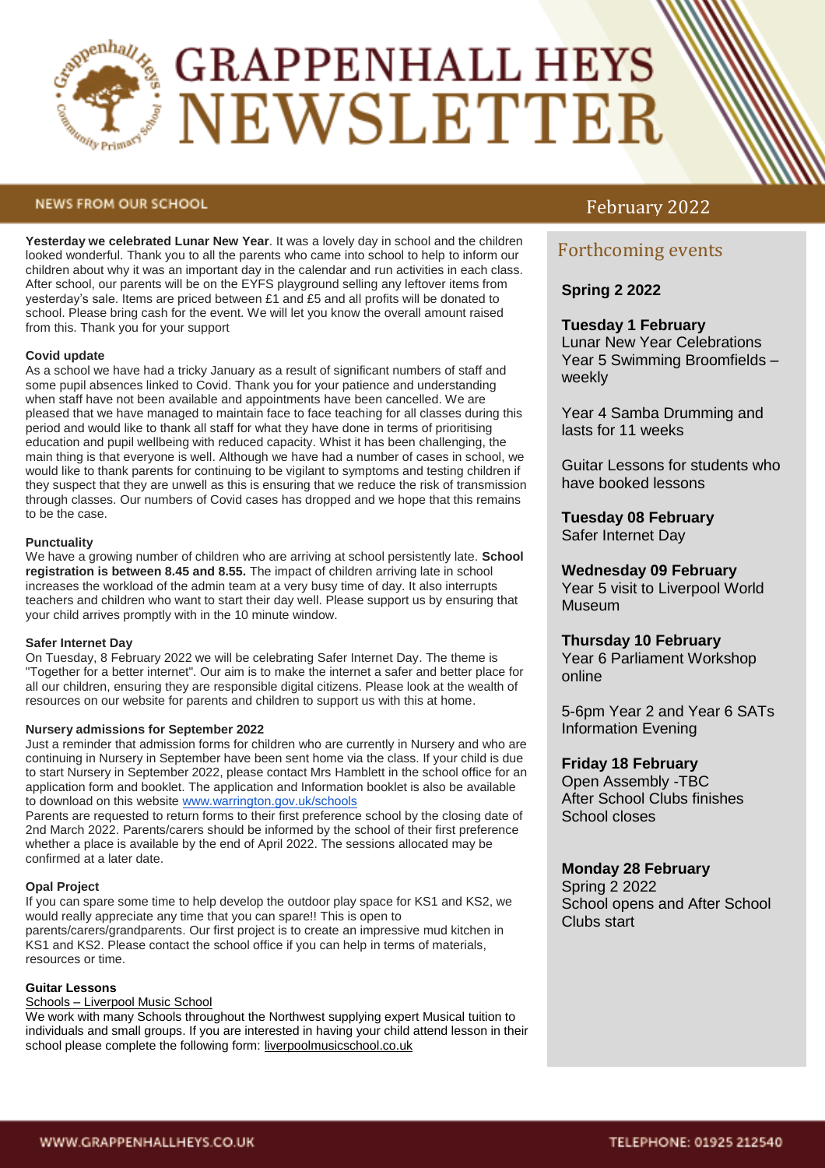

# **GRAPPENHALL HEYS** NEWSLETTER

#### **NEWS FROM OUR SCHOOL**

**Yesterday we celebrated Lunar New Year**. It was a lovely day in school and the children looked wonderful. Thank you to all the parents who came into school to help to inform our children about why it was an important day in the calendar and run activities in each class. After school, our parents will be on the EYFS playground selling any leftover items from yesterday's sale. Items are priced between £1 and £5 and all profits will be donated to school. Please bring cash for the event. We will let you know the overall amount raised from this. Thank you for your support

#### **Covid update**

As a school we have had a tricky January as a result of significant numbers of staff and some pupil absences linked to Covid. Thank you for your patience and understanding when staff have not been available and appointments have been cancelled. We are pleased that we have managed to maintain face to face teaching for all classes during this period and would like to thank all staff for what they have done in terms of prioritising education and pupil wellbeing with reduced capacity. Whist it has been challenging, the main thing is that everyone is well. Although we have had a number of cases in school, we would like to thank parents for continuing to be vigilant to symptoms and testing children if they suspect that they are unwell as this is ensuring that we reduce the risk of transmission through classes. Our numbers of Covid cases has dropped and we hope that this remains to be the case.

#### **Punctuality**

We have a growing number of children who are arriving at school persistently late. **School registration is between 8.45 and 8.55.** The impact of children arriving late in school increases the workload of the admin team at a very busy time of day. It also interrupts teachers and children who want to start their day well. Please support us by ensuring that your child arrives promptly with in the 10 minute window.

#### **Safer Internet Day**

On Tuesday, 8 February 2022 we will be celebrating Safer Internet Day. The theme is "Together for a better internet". Our aim is to make the internet a safer and better place for all our children, ensuring they are responsible digital citizens. Please look at the wealth of resources on our website for parents and children to support us with this at home.

#### **Nursery admissions for September 2022**

Just a reminder that admission forms for children who are currently in Nursery and who are continuing in Nursery in September have been sent home via the class. If your child is due to start Nursery in September 2022, please contact Mrs Hamblett in the school office for an application form and booklet. The application and Information booklet is also be available to download on this website [www.warrington.gov.uk/schools](http://www.warrington.gov.uk/schools)

Parents are requested to return forms to their first preference school by the closing date of 2nd March 2022. Parents/carers should be informed by the school of their first preference whether a place is available by the end of April 2022. The sessions allocated may be confirmed at a later date.

#### **Opal Project**

If you can spare some time to help develop the outdoor play space for KS1 and KS2, we would really appreciate any time that you can spare!! This is open to parents/carers/grandparents. Our first project is to create an impressive mud kitchen in KS1 and KS2. Please contact the school office if you can help in terms of materials, resources or time.

#### **Guitar Lessons**

#### Schools – [Liverpool Music School](https://liverpoolmusicschool.co.uk/schools-2/)

We work with many Schools throughout the Northwest supplying expert Musical tuition to individuals and small groups. If you are interested in having your child attend lesson in their school please complete the following form: [liverpoolmusicschool.co.uk](http://liverpoolmusicschool.co.uk/)

# February 2022

# Forthcoming events

# **Spring 2 2022**

# **Tuesday 1 February**

Lunar New Year Celebrations Year 5 Swimming Broomfields – weekly

Year 4 Samba Drumming and lasts for 11 weeks

Guitar Lessons for students who have booked lessons

## **Tuesday 08 February**

Safer Internet Day

#### **Wednesday 09 February**

Year 5 visit to Liverpool World Museum

#### **Thursday 10 February**

Year 6 Parliament Workshop online

5-6pm Year 2 and Year 6 SATs Information Evening

#### **Friday 18 February**

Open Assembly -TBC After School Clubs finishes School closes

### **Monday 28 February**

Spring 2 2022 School opens and After School Clubs start